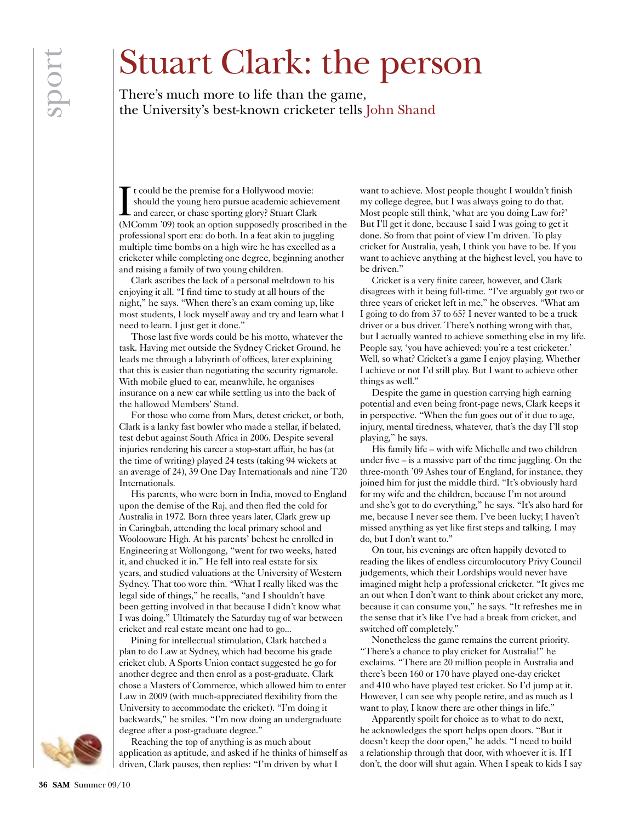## Stuart Clark: the person

There's much more to life than the game, the University's best-known cricketer tells John Shand

I t could be the premise for a Hollywood movie: should the young hero pursue academic achievement and career, or chase sporting glory? Stuart Clark (MComm '09) took an option supposedly proscribed in the professional sport era: do both. In a feat akin to juggling multiple time bombs on a high wire he has excelled as a cricketer while completing one degree, beginning another and raising a family of two young children.

Clark ascribes the lack of a personal meltdown to his enjoying it all. "I find time to study at all hours of the night," he says. "When there's an exam coming up, like most students, I lock myself away and try and learn what I need to learn. I just get it done."

Those last five words could be his motto, whatever the task. Having met outside the Sydney Cricket Ground, he leads me through a labyrinth of offices, later explaining that this is easier than negotiating the security rigmarole. With mobile glued to ear, meanwhile, he organises insurance on a new car while settling us into the back of the hallowed Members' Stand.

For those who come from Mars, detest cricket, or both, Clark is a lanky fast bowler who made a stellar, if belated, test debut against South Africa in 2006. Despite several injuries rendering his career a stop-start affair, he has (at the time of writing) played 24 tests (taking 94 wickets at an average of 24), 39 One Day Internationals and nine T20 Internationals.

His parents, who were born in India, moved to England upon the demise of the Raj, and then fled the cold for Australia in 1972. Born three years later, Clark grew up in Caringbah, attending the local primary school and Woolooware High. At his parents' behest he enrolled in Engineering at Wollongong, "went for two weeks, hated it, and chucked it in." He fell into real estate for six years, and studied valuations at the University of Western Sydney. That too wore thin. "What I really liked was the legal side of things," he recalls, "and I shouldn't have been getting involved in that because I didn't know what I was doing." Ultimately the Saturday tug of war between cricket and real estate meant one had to go...

Pining for intellectual stimulation, Clark hatched a plan to do Law at Sydney, which had become his grade cricket club. A Sports Union contact suggested he go for another degree and then enrol as a post-graduate. Clark chose a Masters of Commerce, which allowed him to enter Law in 2009 (with much-appreciated flexibility from the University to accommodate the cricket). "I'm doing it backwards," he smiles. "I'm now doing an undergraduate degree after a post-graduate degree."

Reaching the top of anything is as much about application as aptitude, and asked if he thinks of himself as driven, Clark pauses, then replies: "I'm driven by what I

want to achieve. Most people thought I wouldn't finish my college degree, but I was always going to do that. Most people still think, 'what are you doing Law for?' But I'll get it done, because I said I was going to get it done. So from that point of view I'm driven. To play cricket for Australia, yeah, I think you have to be. If you want to achieve anything at the highest level, you have to be driven."

Cricket is a very finite career, however, and Clark disagrees with it being full-time. "I've arguably got two or three years of cricket left in me," he observes. "What am I going to do from 37 to 65? I never wanted to be a truck driver or a bus driver. There's nothing wrong with that, but I actually wanted to achieve something else in my life. People say, 'you have achieved: you're a test cricketer.' Well, so what? Cricket's a game I enjoy playing. Whether I achieve or not I'd still play. But I want to achieve other things as well."

Despite the game in question carrying high earning potential and even being front-page news, Clark keeps it in perspective. "When the fun goes out of it due to age, injury, mental tiredness, whatever, that's the day I'll stop playing," he says.

His family life – with wife Michelle and two children under five – is a massive part of the time juggling. On the three-month '09 Ashes tour of England, for instance, they joined him for just the middle third. "It's obviously hard for my wife and the children, because I'm not around and she's got to do everything," he says. "It's also hard for me, because I never see them. I've been lucky; I haven't missed anything as yet like first steps and talking. I may do, but I don't want to."

On tour, his evenings are often happily devoted to reading the likes of endless circumlocutory Privy Council judgements, which their Lordships would never have imagined might help a professional cricketer. "It gives me an out when I don't want to think about cricket any more, because it can consume you," he says. "It refreshes me in the sense that it's like I've had a break from cricket, and switched off completely."

Nonetheless the game remains the current priority. "There's a chance to play cricket for Australia!" he exclaims. "There are 20 million people in Australia and there's been 160 or 170 have played one-day cricket and 410 who have played test cricket. So I'd jump at it. However, I can see why people retire, and as much as I want to play, I know there are other things in life."

Apparently spoilt for choice as to what to do next, he acknowledges the sport helps open doors. "But it doesn't keep the door open," he adds. "I need to build a relationship through that door, with whoever it is. If I don't, the door will shut again. When I speak to kids I say